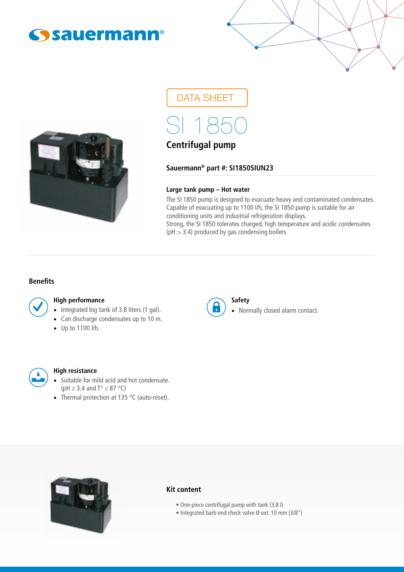



DATA SHEET

SI 1850

# **Centrifugal pump**

**Sauermann® part #: SI1850SIUN23**

### **Large tank pump – Hot water**

The SI 1850 pump is designed to evacuate heavy and contaminated condensates. Capable of evacuating up to 1100 l/h, the SI 1850 pump is suitable for air conditioning units and industrial refrigeration displays. Strong, the SI 1850 tolerates charged, high temperature and acidic condensates  $(pH > 3.4)$  produced by gas condensing boilers

#### **Benefits**

#### **High performance**

- Integrated big tank of 3.8 liters (1 gal).
- Can discharge condensates up to 10 m.
- Up to 1100 l/h.



#### **Safety**

• Normally closed alarm contact.



#### **High resistance**

- Suitable for mild acid and hot condensate. ( $pH \geq 3.4$  and  $T^{\circ} \leq 87^{\circ}C$ )
- Thermal protection at 135 °C (auto-reset).



#### **Kit content**

- One-piece centrifugal pump with tank (3.8 l)
- Integrated barb end check valve Ø ext. 10 mm (3/8")